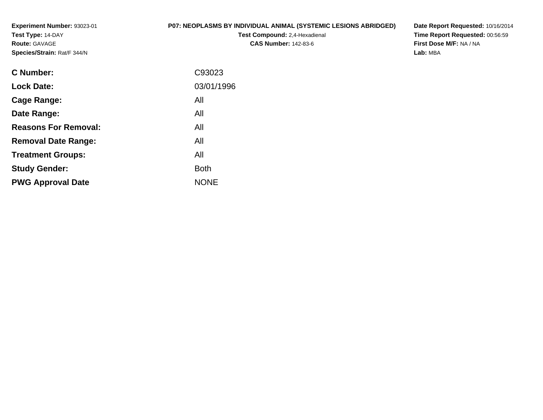**Experiment Number:** 93023-01**Test Type:** 14-DAY**Route:** GAVAGE**Species/Strain:** Rat/F 344/N

# **P07: NEOPLASMS BY INDIVIDUAL ANIMAL (SYSTEMIC LESIONS ABRIDGED)**

**Test Compound:** 2,4-Hexadienal **CAS Number:** 142-83-6

**Date Report Requested:** 10/16/2014 **Time Report Requested:** 00:56:59**First Dose M/F:** NA / NA**Lab:** MBA

| <b>C</b> Number:            | C93023      |
|-----------------------------|-------------|
| <b>Lock Date:</b>           | 03/01/1996  |
| Cage Range:                 | All         |
| Date Range:                 | All         |
| <b>Reasons For Removal:</b> | All         |
| <b>Removal Date Range:</b>  | All         |
| <b>Treatment Groups:</b>    | All         |
| <b>Study Gender:</b>        | <b>Both</b> |
| <b>PWG Approval Date</b>    | <b>NONE</b> |
|                             |             |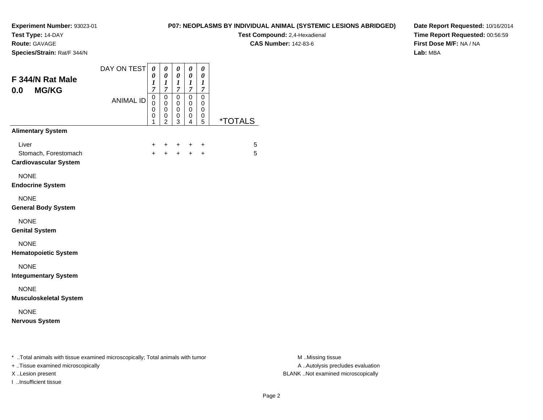**Test Type:** 14-DAY

**Route:** GAVAGE

**Species/Strain:** Rat/F 344/N

# **P07: NEOPLASMS BY INDIVIDUAL ANIMAL (SYSTEMIC LESIONS ABRIDGED)**

**Test Compound:** 2,4-Hexadienal **CAS Number:** 142-83-6

**Date Report Requested:** 10/16/2014**Time Report Requested:** 00:56:59**First Dose M/F:** NA / NA**Lab:** MBA

| <b>ANIMAL ID</b> | $\mathbf 0$<br>$\mathbf 0$<br>$\mathbf 0$<br>0<br>1<br>+<br>$\ddot{}$ | $\mathsf 0$<br>0<br>0<br>0<br>$\overline{c}$<br>+<br>$+$ | $\mathbf 0$<br>0<br>0<br>0<br>3<br>+<br>$+$ | $\mathbf 0$<br>0<br>0<br>0<br>4<br>+<br>$+$ | $\mathbf 0$<br>0<br>0<br>0<br>5<br>+<br>$\ddot{}$ | <i><b>*TOTALS</b></i><br>5<br>5                                                |
|------------------|-----------------------------------------------------------------------|----------------------------------------------------------|---------------------------------------------|---------------------------------------------|---------------------------------------------------|--------------------------------------------------------------------------------|
|                  |                                                                       |                                                          |                                             |                                             |                                                   |                                                                                |
|                  |                                                                       |                                                          |                                             |                                             |                                                   |                                                                                |
|                  |                                                                       |                                                          |                                             |                                             |                                                   |                                                                                |
|                  |                                                                       |                                                          |                                             |                                             |                                                   |                                                                                |
|                  |                                                                       |                                                          |                                             |                                             |                                                   |                                                                                |
|                  |                                                                       |                                                          |                                             |                                             |                                                   |                                                                                |
|                  |                                                                       |                                                          |                                             |                                             |                                                   |                                                                                |
|                  |                                                                       |                                                          |                                             |                                             |                                                   |                                                                                |
|                  |                                                                       |                                                          |                                             |                                             |                                                   |                                                                                |
|                  |                                                                       |                                                          |                                             |                                             |                                                   |                                                                                |
|                  |                                                                       |                                                          |                                             |                                             |                                                   | * Total animals with tissue examined microscopically; Total animals with tumor |

+ ..Tissue examined microscopically

I ..Insufficient tissue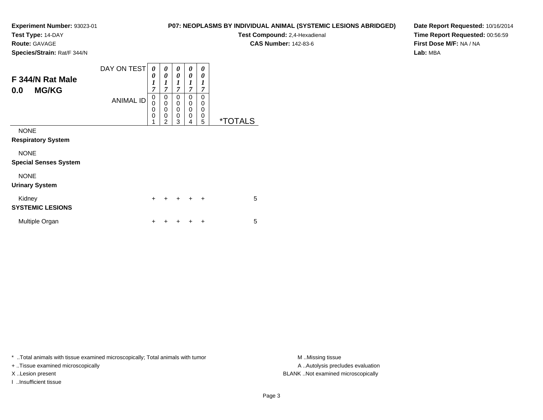**Test Type:** 14-DAY

**Route:** GAVAGE

**Species/Strain:** Rat/F 344/N

**Test Compound:** 2,4-Hexadienal

**CAS Number:** 142-83-6

**Date Report Requested:** 10/16/2014**Time Report Requested:** 00:56:59**First Dose M/F:** NA / NA**Lab:** MBA

| F 344/N Rat Male<br><b>MG/KG</b><br>0.0     | DAY ON TEST<br><b>ANIMAL ID</b> | 0<br>0<br>$\boldsymbol{l}$<br>7<br>0<br>$\mathbf 0$<br>$\mathbf 0$<br>$\mathbf 0$<br>1 | 0<br>0<br>1<br>$\overline{7}$<br>0<br>$\mathbf 0$<br>$\mathbf 0$<br>0<br>$\overline{2}$ | 0<br>0<br>$\boldsymbol{l}$<br>$\overline{7}$<br>0<br>0<br>0<br>0<br>3 | 0<br>0<br>1<br>$\overline{7}$<br>0<br>0<br>$\mathbf 0$<br>$\mathbf 0$<br>4 | 0<br>0<br>1<br>7<br>$\Omega$<br>0<br>0<br>0<br>5 | <i><b>*TOTALS</b></i> |
|---------------------------------------------|---------------------------------|----------------------------------------------------------------------------------------|-----------------------------------------------------------------------------------------|-----------------------------------------------------------------------|----------------------------------------------------------------------------|--------------------------------------------------|-----------------------|
| <b>NONE</b><br><b>Respiratory System</b>    |                                 |                                                                                        |                                                                                         |                                                                       |                                                                            |                                                  |                       |
| <b>NONE</b><br><b>Special Senses System</b> |                                 |                                                                                        |                                                                                         |                                                                       |                                                                            |                                                  |                       |
| <b>NONE</b><br><b>Urinary System</b>        |                                 |                                                                                        |                                                                                         |                                                                       |                                                                            |                                                  |                       |
| Kidney<br><b>SYSTEMIC LESIONS</b>           |                                 | $\ddot{}$                                                                              | +                                                                                       | $+$                                                                   | $\ddot{}$                                                                  | $\ddot{}$                                        | 5                     |
| Multiple Organ                              |                                 | +                                                                                      |                                                                                         |                                                                       | ٠                                                                          | ÷                                                | 5                     |

\* ..Total animals with tissue examined microscopically; Total animals with tumor **M** ..Missing tissue M ..Missing tissue

+ ..Tissue examined microscopically

I ..Insufficient tissue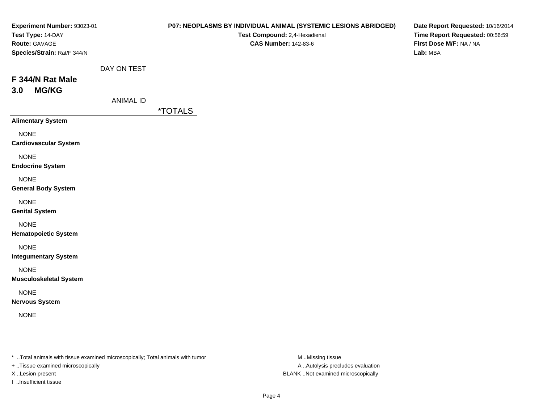| Experiment Number: 93023-01<br>Test Type: 14-DAY<br>Route: GAVAGE<br>Species/Strain: Rat/F 344/N |                                 | P07: NEOPLASMS BY INDIVIDUAL ANIMAL (SYSTEMIC LESIONS ABRIDGED)<br>Test Compound: 2,4-Hexadienal<br><b>CAS Number: 142-83-6</b> | Date Report Requested: 10/16/2014<br>Time Report Requested: 00:56:59<br>First Dose M/F: NA / NA<br>Lab: MBA |
|--------------------------------------------------------------------------------------------------|---------------------------------|---------------------------------------------------------------------------------------------------------------------------------|-------------------------------------------------------------------------------------------------------------|
| F 344/N Rat Male<br><b>MG/KG</b><br>3.0                                                          | DAY ON TEST<br><b>ANIMAL ID</b> | <i><b>*TOTALS</b></i>                                                                                                           |                                                                                                             |
| <b>Alimentary System</b>                                                                         |                                 |                                                                                                                                 |                                                                                                             |
| <b>NONE</b><br><b>Cardiovascular System</b>                                                      |                                 |                                                                                                                                 |                                                                                                             |
| <b>NONE</b><br><b>Endocrine System</b>                                                           |                                 |                                                                                                                                 |                                                                                                             |
| <b>NONE</b><br><b>General Body System</b>                                                        |                                 |                                                                                                                                 |                                                                                                             |
| <b>NONE</b><br><b>Genital System</b>                                                             |                                 |                                                                                                                                 |                                                                                                             |
| <b>NONE</b><br><b>Hematopoietic System</b>                                                       |                                 |                                                                                                                                 |                                                                                                             |
| <b>NONE</b><br><b>Integumentary System</b>                                                       |                                 |                                                                                                                                 |                                                                                                             |
| <b>NONE</b><br><b>Musculoskeletal System</b>                                                     |                                 |                                                                                                                                 |                                                                                                             |
| <b>NONE</b><br><b>Nervous System</b>                                                             |                                 |                                                                                                                                 |                                                                                                             |
| <b>NONE</b>                                                                                      |                                 |                                                                                                                                 |                                                                                                             |

\* ..Total animals with tissue examined microscopically; Total animals with tumor M..Missing tissue M

+ ..Tissue examined microscopically

I ..Insufficient tissue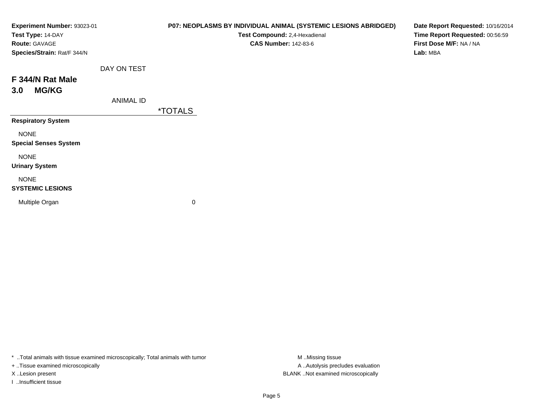| Experiment Number: 93023-01<br>Test Type: 14-DAY<br>Route: GAVAGE<br>Species/Strain: Rat/F 344/N |                  | P07: NEOPLASMS BY INDIVIDUAL ANIMAL (SYSTEMIC LESIONS ABRIDGED)<br>Test Compound: 2,4-Hexadienal<br><b>CAS Number: 142-83-6</b> | Date Report Requested: 10/16/2014<br>Time Report Requested: 00:56:59<br>First Dose M/F: NA / NA<br>Lab: MBA |
|--------------------------------------------------------------------------------------------------|------------------|---------------------------------------------------------------------------------------------------------------------------------|-------------------------------------------------------------------------------------------------------------|
|                                                                                                  | DAY ON TEST      |                                                                                                                                 |                                                                                                             |
| F 344/N Rat Male                                                                                 |                  |                                                                                                                                 |                                                                                                             |
| <b>MG/KG</b><br>3.0                                                                              |                  |                                                                                                                                 |                                                                                                             |
|                                                                                                  | <b>ANIMAL ID</b> |                                                                                                                                 |                                                                                                             |
|                                                                                                  |                  | <i><b>*TOTALS</b></i>                                                                                                           |                                                                                                             |
| <b>Respiratory System</b>                                                                        |                  |                                                                                                                                 |                                                                                                             |
| <b>NONE</b>                                                                                      |                  |                                                                                                                                 |                                                                                                             |
| <b>Special Senses System</b>                                                                     |                  |                                                                                                                                 |                                                                                                             |
| <b>NONE</b>                                                                                      |                  |                                                                                                                                 |                                                                                                             |
| <b>Urinary System</b>                                                                            |                  |                                                                                                                                 |                                                                                                             |
| <b>NONE</b>                                                                                      |                  |                                                                                                                                 |                                                                                                             |
| <b>SYSTEMIC LESIONS</b>                                                                          |                  |                                                                                                                                 |                                                                                                             |
| Multiple Organ                                                                                   |                  | 0                                                                                                                               |                                                                                                             |
|                                                                                                  |                  |                                                                                                                                 |                                                                                                             |
|                                                                                                  |                  |                                                                                                                                 |                                                                                                             |

\* ..Total animals with tissue examined microscopically; Total animals with tumor M..Missing tissue M ..Missing tissue

+ ..Tissue examined microscopically

I ..Insufficient tissue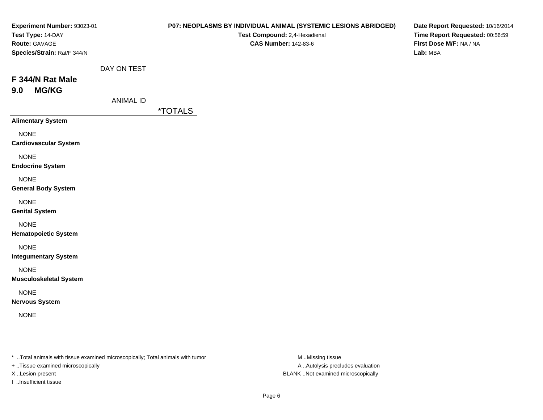| Experiment Number: 93023-01<br>Test Type: 14-DAY<br>Route: GAVAGE<br>Species/Strain: Rat/F 344/N |                                 | P07: NEOPLASMS BY INDIVIDUAL ANIMAL (SYSTEMIC LESIONS ABRIDGED)<br>Test Compound: 2,4-Hexadienal<br><b>CAS Number: 142-83-6</b> | Date Report Requested: 10/16/2014<br>Time Report Requested: 00:56:59<br>First Dose M/F: NA / NA<br>Lab: MBA |
|--------------------------------------------------------------------------------------------------|---------------------------------|---------------------------------------------------------------------------------------------------------------------------------|-------------------------------------------------------------------------------------------------------------|
| F 344/N Rat Male<br><b>MG/KG</b><br>9.0                                                          | DAY ON TEST<br><b>ANIMAL ID</b> | <i><b>*TOTALS</b></i>                                                                                                           |                                                                                                             |
| <b>Alimentary System</b>                                                                         |                                 |                                                                                                                                 |                                                                                                             |
| <b>NONE</b><br><b>Cardiovascular System</b>                                                      |                                 |                                                                                                                                 |                                                                                                             |
| <b>NONE</b><br><b>Endocrine System</b>                                                           |                                 |                                                                                                                                 |                                                                                                             |
| <b>NONE</b><br><b>General Body System</b>                                                        |                                 |                                                                                                                                 |                                                                                                             |
| <b>NONE</b><br><b>Genital System</b>                                                             |                                 |                                                                                                                                 |                                                                                                             |
| <b>NONE</b><br><b>Hematopoietic System</b>                                                       |                                 |                                                                                                                                 |                                                                                                             |
| <b>NONE</b><br><b>Integumentary System</b>                                                       |                                 |                                                                                                                                 |                                                                                                             |
| <b>NONE</b><br><b>Musculoskeletal System</b>                                                     |                                 |                                                                                                                                 |                                                                                                             |
| <b>NONE</b><br><b>Nervous System</b>                                                             |                                 |                                                                                                                                 |                                                                                                             |
| <b>NONE</b>                                                                                      |                                 |                                                                                                                                 |                                                                                                             |

\* ..Total animals with tissue examined microscopically; Total animals with tumor M..Missing tissue M

+ ..Tissue examined microscopically

I ..Insufficient tissue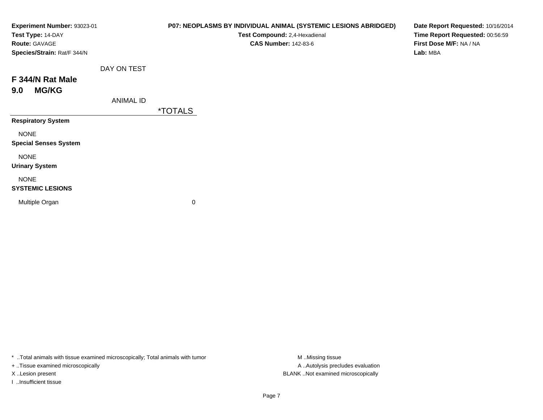| Experiment Number: 93023-01<br>Test Type: 14-DAY<br><b>Route: GAVAGE</b><br>Species/Strain: Rat/F 344/N |                  | P07: NEOPLASMS BY INDIVIDUAL ANIMAL (SYSTEMIC LESIONS ABRIDGED)<br>Test Compound: 2,4-Hexadienal<br><b>CAS Number: 142-83-6</b> | Date Report Requested: 10/16/2014<br>Time Report Requested: 00:56:59<br>First Dose M/F: NA / NA<br>Lab: MBA |
|---------------------------------------------------------------------------------------------------------|------------------|---------------------------------------------------------------------------------------------------------------------------------|-------------------------------------------------------------------------------------------------------------|
|                                                                                                         | DAY ON TEST      |                                                                                                                                 |                                                                                                             |
| F 344/N Rat Male                                                                                        |                  |                                                                                                                                 |                                                                                                             |
| <b>MG/KG</b><br>9.0                                                                                     |                  |                                                                                                                                 |                                                                                                             |
|                                                                                                         | <b>ANIMAL ID</b> |                                                                                                                                 |                                                                                                             |
|                                                                                                         |                  | <i><b>*TOTALS</b></i>                                                                                                           |                                                                                                             |
| <b>Respiratory System</b>                                                                               |                  |                                                                                                                                 |                                                                                                             |
| <b>NONE</b><br><b>Special Senses System</b>                                                             |                  |                                                                                                                                 |                                                                                                             |
| <b>NONE</b><br><b>Urinary System</b>                                                                    |                  |                                                                                                                                 |                                                                                                             |
| <b>NONE</b><br><b>SYSTEMIC LESIONS</b>                                                                  |                  |                                                                                                                                 |                                                                                                             |
| Multiple Organ                                                                                          |                  | 0                                                                                                                               |                                                                                                             |
|                                                                                                         |                  |                                                                                                                                 |                                                                                                             |

\* ..Total animals with tissue examined microscopically; Total animals with tumor M..Missing tissue M ..Missing tissue

+ ..Tissue examined microscopically

I ..Insufficient tissue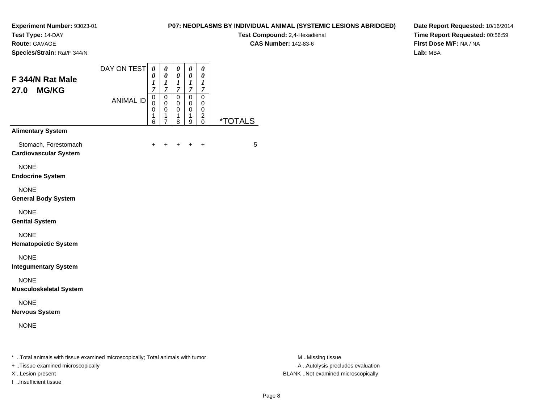**Test Type:** 14-DAY

**Route:** GAVAGE

**Species/Strain:** Rat/F 344/N

# **P07: NEOPLASMS BY INDIVIDUAL ANIMAL (SYSTEMIC LESIONS ABRIDGED)**

**Test Compound:** 2,4-Hexadienal **CAS Number:** 142-83-6

**Date Report Requested:** 10/16/2014**Time Report Requested:** 00:56:59**First Dose M/F:** NA / NA**Lab:** MBA

| F 344/N Rat Male                                     | DAY ON TEST      | 0<br>0<br>1<br>$\overline{7}$             | 0<br>$\pmb{\theta}$<br>1<br>7                          | 0<br>$\pmb{\theta}$<br>1<br>7             | 0<br>$\boldsymbol{\theta}$<br>$\boldsymbol{l}$<br>7 | 0<br>0<br>$\boldsymbol{l}$<br>7                     |                       |
|------------------------------------------------------|------------------|-------------------------------------------|--------------------------------------------------------|-------------------------------------------|-----------------------------------------------------|-----------------------------------------------------|-----------------------|
| <b>MG/KG</b><br>27.0                                 | <b>ANIMAL ID</b> | 0<br>$\mathbf 0$<br>$\mathbf 0$<br>1<br>6 | 0<br>$\mathbf 0$<br>$\mathbf 0$<br>1<br>$\overline{7}$ | 0<br>$\mathbf 0$<br>$\mathbf 0$<br>1<br>8 | $\mathbf 0$<br>$\mathbf 0$<br>$\mathbf 0$<br>1<br>9 | $\mathbf 0$<br>0<br>0<br>$\overline{c}$<br>$\Omega$ | <i><b>*TOTALS</b></i> |
| <b>Alimentary System</b>                             |                  |                                           |                                                        |                                           |                                                     |                                                     |                       |
| Stomach, Forestomach<br><b>Cardiovascular System</b> |                  | $\ddot{}$                                 | ÷                                                      | $\ddot{}$                                 | $\ddot{}$                                           | $\ddot{}$                                           | 5                     |
| <b>NONE</b><br><b>Endocrine System</b>               |                  |                                           |                                                        |                                           |                                                     |                                                     |                       |
| <b>NONE</b><br><b>General Body System</b>            |                  |                                           |                                                        |                                           |                                                     |                                                     |                       |
| <b>NONE</b><br><b>Genital System</b>                 |                  |                                           |                                                        |                                           |                                                     |                                                     |                       |
| <b>NONE</b><br><b>Hematopoietic System</b>           |                  |                                           |                                                        |                                           |                                                     |                                                     |                       |
| <b>NONE</b><br><b>Integumentary System</b>           |                  |                                           |                                                        |                                           |                                                     |                                                     |                       |
| <b>NONE</b><br><b>Musculoskeletal System</b>         |                  |                                           |                                                        |                                           |                                                     |                                                     |                       |
| <b>NONE</b><br><b>Nervous System</b>                 |                  |                                           |                                                        |                                           |                                                     |                                                     |                       |
| <b>NONE</b>                                          |                  |                                           |                                                        |                                           |                                                     |                                                     |                       |
|                                                      |                  |                                           |                                                        |                                           |                                                     |                                                     |                       |

\* ..Total animals with tissue examined microscopically; Total animals with tumor **M** . Missing tissue M ..Missing tissue

+ ..Tissue examined microscopically

I ..Insufficient tissue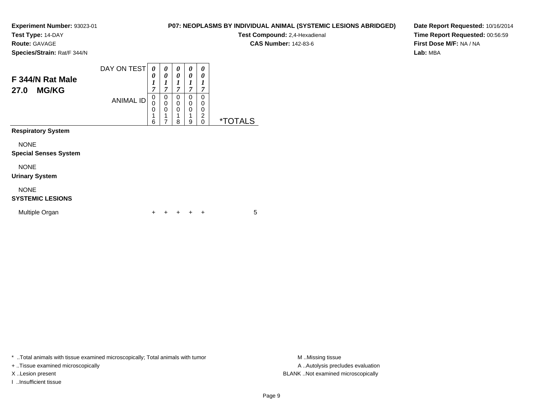**Test Type:** 14-DAY

**Route:** GAVAGE

**Species/Strain:** Rat/F 344/N

#### DAY ON TEST**F 344/N Rat Male27.0 MG/KG**ANIMAL ID*0 0 1 7*0<br>0<br>0<br>1 *0 0 1 7*0<br>0<br>0<br>1 *0 0 1 7* 0 0 0*0 0 1 7* 0 0 0*0 0 1 7* 00<br>0<br>0<br>0<br>0

7

 18  19

0 \*TOTALS

6

**Respiratory System**

NONE

### **Special Senses System**

NONE

### **Urinary System**

NONE

### **SYSTEMIC LESIONS**

| Multiple Organ |  |  | + + + + + |  |  |  |  |
|----------------|--|--|-----------|--|--|--|--|
|----------------|--|--|-----------|--|--|--|--|

\* ..Total animals with tissue examined microscopically; Total animals with tumor **M** ..Missing tissue M ..Missing tissue

+ ..Tissue examined microscopically

I ..Insufficient tissue

**P07: NEOPLASMS BY INDIVIDUAL ANIMAL (SYSTEMIC LESIONS ABRIDGED)**

**Test Compound:** 2,4-Hexadienal

**CAS Number:** 142-83-6

**Date Report Requested:** 10/16/2014**Time Report Requested:** 00:56:59**First Dose M/F:** NA / NA**Lab:** MBA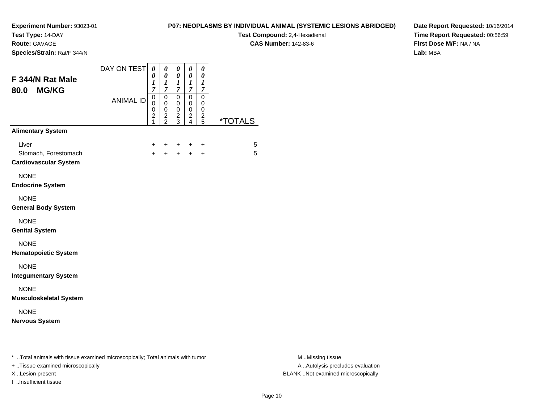**Test Type:** 14-DAY

**Route:** GAVAGE

**Species/Strain:** Rat/F 344/N

# **P07: NEOPLASMS BY INDIVIDUAL ANIMAL (SYSTEMIC LESIONS ABRIDGED)**

**Test Compound:** 2,4-Hexadienal **CAS Number:** 142-83-6

**Date Report Requested:** 10/16/2014**Time Report Requested:** 00:56:59**First Dose M/F:** NA / NA**Lab:** MBA

| F 344/N Rat Male<br><b>MG/KG</b><br>80.0                                       | DAY ON TEST      | 0<br>0<br>1<br>$\overline{7}$                | 0<br>0<br>1<br>$\overline{7}$                  | 0<br>0<br>1<br>$\overline{7}$                         | $\boldsymbol{\theta}$<br>0<br>1<br>7                                      | $\boldsymbol{\theta}$<br>0<br>1<br>$\overline{7}$ |                       |
|--------------------------------------------------------------------------------|------------------|----------------------------------------------|------------------------------------------------|-------------------------------------------------------|---------------------------------------------------------------------------|---------------------------------------------------|-----------------------|
|                                                                                | <b>ANIMAL ID</b> | $\mathsf 0$<br>0<br>0<br>$\overline{c}$<br>1 | $\mathbf 0$<br>$\pmb{0}$<br>0<br>$\frac{2}{2}$ | 0<br>$\mathbf 0$<br>0<br>$\overline{\mathbf{c}}$<br>3 | 0<br>$\pmb{0}$<br>0<br>$\overline{\mathbf{c}}$<br>$\overline{\mathbf{4}}$ | 0<br>0<br>0<br>$\frac{2}{5}$                      | <i><b>*TOTALS</b></i> |
| <b>Alimentary System</b>                                                       |                  |                                              |                                                |                                                       |                                                                           |                                                   |                       |
| Liver<br>Stomach, Forestomach<br><b>Cardiovascular System</b>                  |                  | $\ddot{}$<br>$+$                             | +<br>$\ddot{}$                                 | ٠<br>$\ddot{}$                                        | +<br>$+$                                                                  | +<br>$\ddot{}$                                    | 5<br>5                |
| <b>NONE</b><br><b>Endocrine System</b>                                         |                  |                                              |                                                |                                                       |                                                                           |                                                   |                       |
| <b>NONE</b><br><b>General Body System</b>                                      |                  |                                              |                                                |                                                       |                                                                           |                                                   |                       |
| <b>NONE</b><br><b>Genital System</b>                                           |                  |                                              |                                                |                                                       |                                                                           |                                                   |                       |
| <b>NONE</b><br><b>Hematopoietic System</b>                                     |                  |                                              |                                                |                                                       |                                                                           |                                                   |                       |
| <b>NONE</b><br><b>Integumentary System</b>                                     |                  |                                              |                                                |                                                       |                                                                           |                                                   |                       |
| <b>NONE</b><br><b>Musculoskeletal System</b>                                   |                  |                                              |                                                |                                                       |                                                                           |                                                   |                       |
| <b>NONE</b><br><b>Nervous System</b>                                           |                  |                                              |                                                |                                                       |                                                                           |                                                   |                       |
| * Total animals with tissue examined microscopically; Total animals with tumor |                  |                                              |                                                |                                                       |                                                                           |                                                   |                       |

+ ..Tissue examined microscopically

I ..Insufficient tissue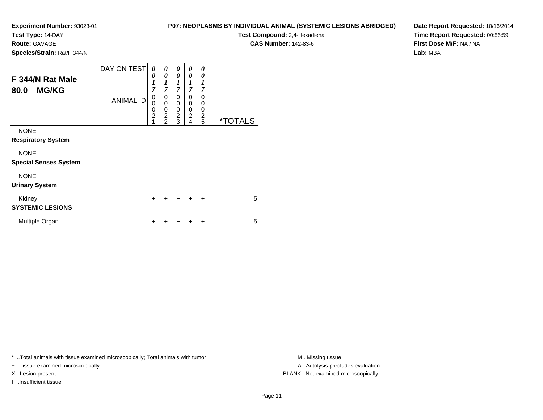**Test Type:** 14-DAY

**Route:** GAVAGE

**Species/Strain:** Rat/F 344/N

# **P07: NEOPLASMS BY INDIVIDUAL ANIMAL (SYSTEMIC LESIONS ABRIDGED)**

**Test Compound:** 2,4-Hexadienal **CAS Number:** 142-83-6

**Date Report Requested:** 10/16/2014**Time Report Requested:** 00:56:59**First Dose M/F:** NA / NA**Lab:** MBA

| F 344/N Rat Male<br><b>MG/KG</b><br>80.0    | DAY ON TEST<br><b>ANIMAL ID</b> | 0<br>$\boldsymbol{\theta}$<br>$\boldsymbol{l}$<br>$\overline{7}$<br>0<br>$\mathbf 0$<br>$\frac{0}{2}$<br>1 | 0<br>0<br>1<br>7<br>0<br>$\mathbf 0$<br>$\mathbf 0$<br>$\overline{2}$<br>$\overline{2}$ | 0<br>0<br>$\boldsymbol{l}$<br>$\overline{\tau}$<br>0<br>0<br>0<br>$\overline{2}$<br>3 | 0<br>0<br>1<br>$\overline{7}$<br>0<br>0<br>0<br>$\overline{c}$<br>4 | 0<br>0<br>1<br>$\overline{7}$<br>0<br>0<br>0<br>$\overline{c}$<br>5 | <i><b>*TOTALS</b></i> |
|---------------------------------------------|---------------------------------|------------------------------------------------------------------------------------------------------------|-----------------------------------------------------------------------------------------|---------------------------------------------------------------------------------------|---------------------------------------------------------------------|---------------------------------------------------------------------|-----------------------|
| <b>NONE</b><br><b>Respiratory System</b>    |                                 |                                                                                                            |                                                                                         |                                                                                       |                                                                     |                                                                     |                       |
| <b>NONE</b><br><b>Special Senses System</b> |                                 |                                                                                                            |                                                                                         |                                                                                       |                                                                     |                                                                     |                       |
| <b>NONE</b><br><b>Urinary System</b>        |                                 |                                                                                                            |                                                                                         |                                                                                       |                                                                     |                                                                     |                       |
| Kidney<br><b>SYSTEMIC LESIONS</b>           |                                 | $\ddot{}$                                                                                                  |                                                                                         |                                                                                       |                                                                     | $\ddot{}$                                                           | 5                     |
| Multiple Organ                              |                                 | +                                                                                                          |                                                                                         |                                                                                       |                                                                     | ÷                                                                   | 5                     |

\* ..Total animals with tissue examined microscopically; Total animals with tumor **M** . Missing tissue M ..Missing tissue

+ ..Tissue examined microscopically

I ..Insufficient tissue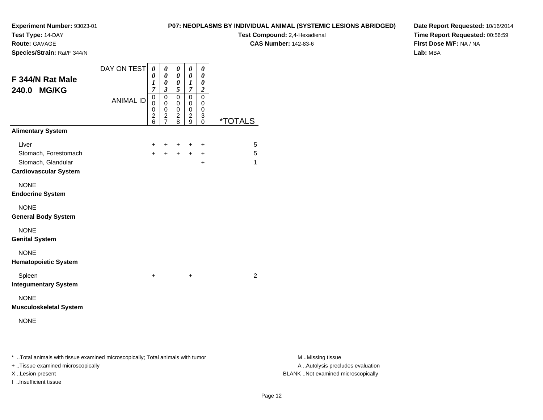**Test Type:** 14-DAY

**Route:** GAVAGE

**Species/Strain:** Rat/F 344/N

# **P07: NEOPLASMS BY INDIVIDUAL ANIMAL (SYSTEMIC LESIONS ABRIDGED)**

**Test Compound:** 2,4-Hexadienal **CAS Number:** 142-83-6

**Date Report Requested:** 10/16/2014**Time Report Requested:** 00:56:59**First Dose M/F:** NA / NA**Lab:** MBA

| F 344/N Rat Male<br>240.0 MG/KG                                                     | DAY ON TEST<br><b>ANIMAL ID</b> | 0<br>0<br>$\boldsymbol{l}$<br>$\overline{7}$<br>0<br>0<br>0<br>$\frac{2}{6}$ | 0<br>$\boldsymbol{\theta}$<br>$\pmb{\theta}$<br>$\boldsymbol{\beta}$<br>$\pmb{0}$<br>0<br>0<br>$\frac{2}{7}$ | 0<br>$\boldsymbol{\theta}$<br>$\boldsymbol{\theta}$<br>5<br>$\mathbf 0$<br>0<br>0<br>$\frac{2}{8}$ | 0<br>$\boldsymbol{\theta}$<br>$\boldsymbol{l}$<br>$\overline{7}$<br>$\pmb{0}$<br>0<br>0<br>$\overline{c}$<br>9 | $\theta$<br>$\boldsymbol{\theta}$<br>$\boldsymbol{\theta}$<br>$\boldsymbol{2}$<br>$\mathbf 0$<br>0<br>$\mathbf 0$<br>$\mathbf{3}$<br>$\mathbf 0$ | <i><b>*TOTALS</b></i> |
|-------------------------------------------------------------------------------------|---------------------------------|------------------------------------------------------------------------------|--------------------------------------------------------------------------------------------------------------|----------------------------------------------------------------------------------------------------|----------------------------------------------------------------------------------------------------------------|--------------------------------------------------------------------------------------------------------------------------------------------------|-----------------------|
| <b>Alimentary System</b>                                                            |                                 |                                                                              |                                                                                                              |                                                                                                    |                                                                                                                |                                                                                                                                                  |                       |
| Liver<br>Stomach, Forestomach<br>Stomach, Glandular<br><b>Cardiovascular System</b> |                                 | +<br>$+$                                                                     | +<br>$+$                                                                                                     | +<br>$+$                                                                                           | +<br>$+$                                                                                                       | +<br>$\ddot{}$<br>$\ddot{}$                                                                                                                      | 5<br>5<br>1           |
| <b>NONE</b><br><b>Endocrine System</b>                                              |                                 |                                                                              |                                                                                                              |                                                                                                    |                                                                                                                |                                                                                                                                                  |                       |
| <b>NONE</b><br><b>General Body System</b>                                           |                                 |                                                                              |                                                                                                              |                                                                                                    |                                                                                                                |                                                                                                                                                  |                       |
| <b>NONE</b><br><b>Genital System</b>                                                |                                 |                                                                              |                                                                                                              |                                                                                                    |                                                                                                                |                                                                                                                                                  |                       |
| <b>NONE</b><br><b>Hematopoietic System</b>                                          |                                 |                                                                              |                                                                                                              |                                                                                                    |                                                                                                                |                                                                                                                                                  |                       |
| Spleen<br><b>Integumentary System</b>                                               |                                 | +                                                                            |                                                                                                              |                                                                                                    | +                                                                                                              |                                                                                                                                                  | $\overline{2}$        |
| <b>NONE</b><br><b>Musculoskeletal System</b>                                        |                                 |                                                                              |                                                                                                              |                                                                                                    |                                                                                                                |                                                                                                                                                  |                       |
| <b>NONE</b>                                                                         |                                 |                                                                              |                                                                                                              |                                                                                                    |                                                                                                                |                                                                                                                                                  |                       |
|                                                                                     |                                 |                                                                              |                                                                                                              |                                                                                                    |                                                                                                                |                                                                                                                                                  |                       |

\* ..Total animals with tissue examined microscopically; Total animals with tumor **M** . Missing tissue M ..Missing tissue

+ ..Tissue examined microscopically

I ..Insufficient tissue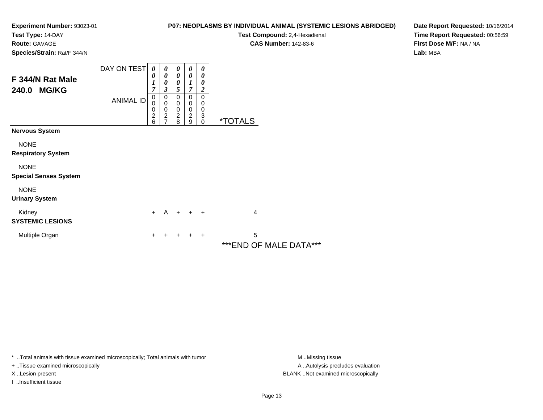**Test Type:** 14-DAY

# **Route:** GAVAGE

**Species/Strain:** Rat/F 344/N

# **P07: NEOPLASMS BY INDIVIDUAL ANIMAL (SYSTEMIC LESIONS ABRIDGED)**

**Test Compound:** 2,4-Hexadienal

**CAS Number:** 142-83-6

**Date Report Requested:** 10/16/2014**Time Report Requested:** 00:56:59**First Dose M/F:** NA / NA**Lab:** MBA

| F 344/N Rat Male<br><b>MG/KG</b><br>240.0   | DAY ON TEST<br><b>ANIMAL ID</b> | $\boldsymbol{\theta}$<br>0<br>1<br>7<br>0<br>0<br>0<br>$\overline{c}$<br>6 | 0<br>0<br>0<br>3<br>0<br>$\pmb{0}$<br>$\pmb{0}$<br>$\boldsymbol{2}$<br>$\overline{7}$ | 0<br>$\boldsymbol{\theta}$<br>$\boldsymbol{\theta}$<br>5<br>$\mathbf 0$<br>0<br>$\mathbf 0$<br>$\overline{c}$<br>8 | 0<br>0<br>$\overline{7}$<br>0<br>0<br>$\mathbf 0$<br>$\boldsymbol{2}$<br>9 | 0<br>0<br>$\boldsymbol{\theta}$<br>$\boldsymbol{2}$<br>0<br>0<br>$\pmb{0}$<br>$\ensuremath{\mathsf{3}}$<br>$\Omega$ | <i><b>*TOTALS</b></i>        |
|---------------------------------------------|---------------------------------|----------------------------------------------------------------------------|---------------------------------------------------------------------------------------|--------------------------------------------------------------------------------------------------------------------|----------------------------------------------------------------------------|---------------------------------------------------------------------------------------------------------------------|------------------------------|
| <b>Nervous System</b>                       |                                 |                                                                            |                                                                                       |                                                                                                                    |                                                                            |                                                                                                                     |                              |
| <b>NONE</b><br><b>Respiratory System</b>    |                                 |                                                                            |                                                                                       |                                                                                                                    |                                                                            |                                                                                                                     |                              |
| <b>NONE</b><br><b>Special Senses System</b> |                                 |                                                                            |                                                                                       |                                                                                                                    |                                                                            |                                                                                                                     |                              |
| <b>NONE</b><br><b>Urinary System</b>        |                                 |                                                                            |                                                                                       |                                                                                                                    |                                                                            |                                                                                                                     |                              |
| Kidney<br><b>SYSTEMIC LESIONS</b>           |                                 | $+$                                                                        | A                                                                                     | $+$                                                                                                                | $+$ $+$                                                                    |                                                                                                                     | $\overline{4}$               |
| Multiple Organ                              |                                 | ÷                                                                          |                                                                                       | ÷                                                                                                                  | ÷                                                                          | $\overline{+}$                                                                                                      | 5<br>*** END OF MALE DATA*** |

\* ..Total animals with tissue examined microscopically; Total animals with tumor **M** . Missing tissue M ..Missing tissue

+ ..Tissue examined microscopically

I ..Insufficient tissue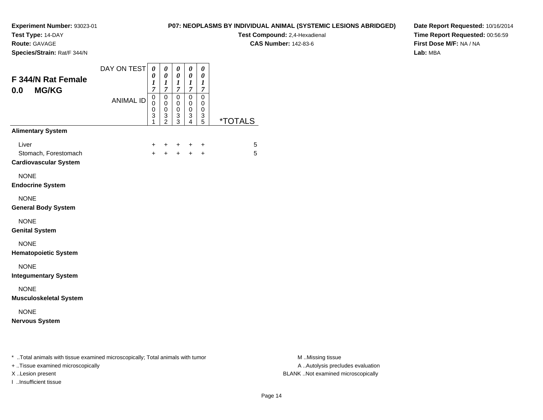**Test Type:** 14-DAY

**Route:** GAVAGE

**Species/Strain:** Rat/F 344/N

# **P07: NEOPLASMS BY INDIVIDUAL ANIMAL (SYSTEMIC LESIONS ABRIDGED)**

 $\overline{\phantom{0}}$ 

**Test Compound:** 2,4-Hexadienal **CAS Number:** 142-83-6

**Date Report Requested:** 10/16/2014**Time Report Requested:** 00:56:59**First Dose M/F:** NA / NA**Lab:** MBA

| F 344/N Rat Female<br><b>MG/KG</b><br>0.0                     | DAY ON TEST      | 0<br>0<br>1<br>7      | 0<br>$\boldsymbol{\theta}$<br>$\boldsymbol{l}$<br>7        | 0<br>$\boldsymbol{\theta}$<br>$\boldsymbol{l}$<br>$\overline{7}$ | 0<br>0<br>1<br>7                   | 0<br>$\boldsymbol{\theta}$<br>$\boldsymbol{l}$<br>7 |                       |
|---------------------------------------------------------------|------------------|-----------------------|------------------------------------------------------------|------------------------------------------------------------------|------------------------------------|-----------------------------------------------------|-----------------------|
|                                                               | <b>ANIMAL ID</b> | 0<br>0<br>0<br>3<br>1 | $\pmb{0}$<br>$\pmb{0}$<br>$\pmb{0}$<br>3<br>$\overline{2}$ | $\mathbf 0$<br>0<br>$\pmb{0}$<br>3<br>$\overline{3}$             | 0<br>0<br>0<br>3<br>$\overline{4}$ | 0<br>0<br>$\pmb{0}$<br>3<br>$\overline{5}$          | <i><b>*TOTALS</b></i> |
| <b>Alimentary System</b>                                      |                  |                       |                                                            |                                                                  |                                    |                                                     |                       |
| Liver<br>Stomach, Forestomach<br><b>Cardiovascular System</b> |                  | $\pm$<br>$\ddot{}$    | +<br>$\ddot{}$                                             | $\ddot{}$<br>$+$                                                 | ÷<br>$+$                           | $\ddot{}$<br>$+$                                    | 5<br>5                |
| <b>NONE</b><br><b>Endocrine System</b>                        |                  |                       |                                                            |                                                                  |                                    |                                                     |                       |
| <b>NONE</b><br><b>General Body System</b>                     |                  |                       |                                                            |                                                                  |                                    |                                                     |                       |
| <b>NONE</b><br><b>Genital System</b>                          |                  |                       |                                                            |                                                                  |                                    |                                                     |                       |
| <b>NONE</b><br><b>Hematopoietic System</b>                    |                  |                       |                                                            |                                                                  |                                    |                                                     |                       |
| <b>NONE</b><br><b>Integumentary System</b>                    |                  |                       |                                                            |                                                                  |                                    |                                                     |                       |
| <b>NONE</b><br><b>Musculoskeletal System</b>                  |                  |                       |                                                            |                                                                  |                                    |                                                     |                       |
| <b>NONE</b><br><b>Nervous System</b>                          |                  |                       |                                                            |                                                                  |                                    |                                                     |                       |
|                                                               |                  |                       |                                                            |                                                                  |                                    |                                                     |                       |

\* ..Total animals with tissue examined microscopically; Total animals with tumor **M** . Missing tissue M ..Missing tissue

+ ..Tissue examined microscopically

I ..Insufficient tissue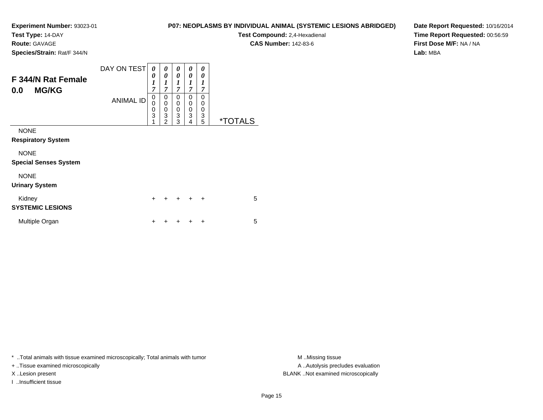**Test Type:** 14-DAY

**Route:** GAVAGE

**Species/Strain:** Rat/F 344/N

# **P07: NEOPLASMS BY INDIVIDUAL ANIMAL (SYSTEMIC LESIONS ABRIDGED)**

**Test Compound:** 2,4-Hexadienal **CAS Number:** 142-83-6

**Date Report Requested:** 10/16/2014**Time Report Requested:** 00:56:59**First Dose M/F:** NA / NA**Lab:** MBA

| F 344/N Rat Female<br><b>MG/KG</b><br>0.0   | DAY ON TEST<br><b>ANIMAL ID</b> | 0<br>0<br>$\boldsymbol{l}$<br>$\overline{7}$<br>0<br>0<br>$\begin{smallmatrix}0\3 \end{smallmatrix}$<br>1 | 0<br>0<br>$\boldsymbol{l}$<br>$\overline{7}$<br>0<br>$\mathbf 0$<br>0<br>$\overline{3}$<br>$\overline{2}$ | 0<br>0<br>1<br>$\overline{7}$<br>0<br>0<br>0<br>3<br>3 | 0<br>0<br>1<br>$\overline{7}$<br>0<br>0<br>0<br>$\overline{3}$<br>4 | 0<br>0<br>1<br>7<br>0<br>$\mathbf 0$<br>$\mathbf 0$<br>3<br>5 | <i><b>*TOTALS</b></i> |
|---------------------------------------------|---------------------------------|-----------------------------------------------------------------------------------------------------------|-----------------------------------------------------------------------------------------------------------|--------------------------------------------------------|---------------------------------------------------------------------|---------------------------------------------------------------|-----------------------|
| <b>NONE</b><br><b>Respiratory System</b>    |                                 |                                                                                                           |                                                                                                           |                                                        |                                                                     |                                                               |                       |
| <b>NONE</b><br><b>Special Senses System</b> |                                 |                                                                                                           |                                                                                                           |                                                        |                                                                     |                                                               |                       |
| <b>NONE</b><br><b>Urinary System</b>        |                                 |                                                                                                           |                                                                                                           |                                                        |                                                                     |                                                               |                       |
| Kidney<br><b>SYSTEMIC LESIONS</b>           |                                 | $\ddot{}$                                                                                                 | +                                                                                                         |                                                        | $\div$                                                              | $\ddot{}$                                                     | 5                     |
| Multiple Organ                              |                                 | +                                                                                                         | ٠                                                                                                         |                                                        |                                                                     | ٠                                                             | 5                     |

\* ..Total animals with tissue examined microscopically; Total animals with tumor **M** . Missing tissue M ..Missing tissue

+ ..Tissue examined microscopically

I ..Insufficient tissue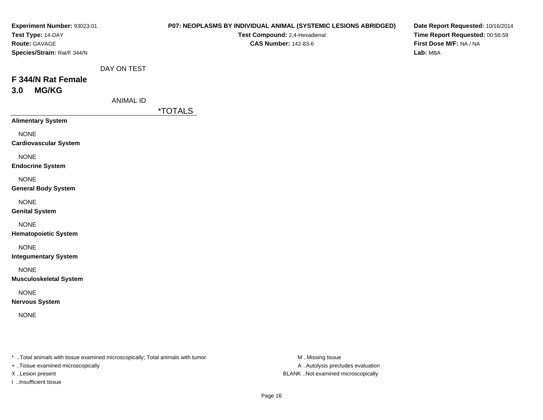| Experiment Number: 93023-01<br>Test Type: 14-DAY<br>Route: GAVAGE<br>Species/Strain: Rat/F 344/N |                                 | P07: NEOPLASMS BY INDIVIDUAL ANIMAL (SYSTEMIC LESIONS ABRIDGED)<br>Test Compound: 2,4-Hexadienal<br><b>CAS Number: 142-83-6</b> | Date Report Requested: 10/16/2014<br>Time Report Requested: 00:56:59<br>First Dose M/F: NA / NA<br>Lab: MBA |
|--------------------------------------------------------------------------------------------------|---------------------------------|---------------------------------------------------------------------------------------------------------------------------------|-------------------------------------------------------------------------------------------------------------|
| F 344/N Rat Female<br><b>MG/KG</b><br>3.0                                                        | DAY ON TEST<br><b>ANIMAL ID</b> |                                                                                                                                 |                                                                                                             |
|                                                                                                  |                                 | <i><b>*TOTALS</b></i>                                                                                                           |                                                                                                             |
| <b>Alimentary System</b><br><b>NONE</b><br><b>Cardiovascular System</b>                          |                                 |                                                                                                                                 |                                                                                                             |
| <b>NONE</b><br><b>Endocrine System</b>                                                           |                                 |                                                                                                                                 |                                                                                                             |
| <b>NONE</b><br><b>General Body System</b>                                                        |                                 |                                                                                                                                 |                                                                                                             |
| <b>NONE</b><br><b>Genital System</b>                                                             |                                 |                                                                                                                                 |                                                                                                             |
| <b>NONE</b><br><b>Hematopoietic System</b>                                                       |                                 |                                                                                                                                 |                                                                                                             |
| <b>NONE</b><br><b>Integumentary System</b>                                                       |                                 |                                                                                                                                 |                                                                                                             |
| <b>NONE</b><br><b>Musculoskeletal System</b>                                                     |                                 |                                                                                                                                 |                                                                                                             |
| <b>NONE</b><br><b>Nervous System</b>                                                             |                                 |                                                                                                                                 |                                                                                                             |
| <b>NONE</b>                                                                                      |                                 |                                                                                                                                 |                                                                                                             |
|                                                                                                  |                                 |                                                                                                                                 |                                                                                                             |

\* ..Total animals with tissue examined microscopically; Total animals with tumor M..Missing tissue M

+ ..Tissue examined microscopically

I ..Insufficient tissue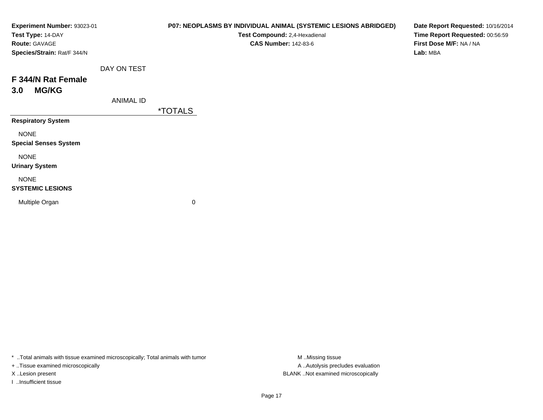| Experiment Number: 93023-01  |                  | P07: NEOPLASMS BY INDIVIDUAL ANIMAL (SYSTEMIC LESIONS ABRIDGED) | Date Report Requested: 10/16/2014 |
|------------------------------|------------------|-----------------------------------------------------------------|-----------------------------------|
| Test Type: 14-DAY            |                  | Test Compound: 2,4-Hexadienal                                   | Time Report Requested: 00:56:59   |
| Route: GAVAGE                |                  | <b>CAS Number: 142-83-6</b>                                     | First Dose M/F: NA / NA           |
| Species/Strain: Rat/F 344/N  |                  |                                                                 | Lab: MBA                          |
|                              | DAY ON TEST      |                                                                 |                                   |
| F 344/N Rat Female           |                  |                                                                 |                                   |
| <b>MG/KG</b><br>3.0          |                  |                                                                 |                                   |
|                              | <b>ANIMAL ID</b> |                                                                 |                                   |
|                              |                  | <i><b>*TOTALS</b></i>                                           |                                   |
| <b>Respiratory System</b>    |                  |                                                                 |                                   |
| <b>NONE</b>                  |                  |                                                                 |                                   |
| <b>Special Senses System</b> |                  |                                                                 |                                   |
| <b>NONE</b>                  |                  |                                                                 |                                   |
| <b>Urinary System</b>        |                  |                                                                 |                                   |
| <b>NONE</b>                  |                  |                                                                 |                                   |
| <b>SYSTEMIC LESIONS</b>      |                  |                                                                 |                                   |
| Multiple Organ               |                  | 0                                                               |                                   |
|                              |                  |                                                                 |                                   |

\* ..Total animals with tissue examined microscopically; Total animals with tumor M..Missing tissue M ..Missing tissue

+ ..Tissue examined microscopically

I ..Insufficient tissue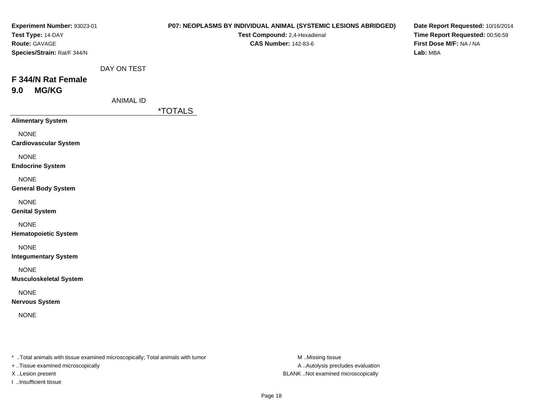| Experiment Number: 93023-01<br>Test Type: 14-DAY<br>Route: GAVAGE<br>Species/Strain: Rat/F 344/N |                                 | P07: NEOPLASMS BY INDIVIDUAL ANIMAL (SYSTEMIC LESIONS ABRIDGED)<br>Test Compound: 2,4-Hexadienal<br><b>CAS Number: 142-83-6</b> | Date Report Requested: 10/16/2014<br>Time Report Requested: 00:56:59<br>First Dose M/F: NA / NA<br>Lab: MBA |
|--------------------------------------------------------------------------------------------------|---------------------------------|---------------------------------------------------------------------------------------------------------------------------------|-------------------------------------------------------------------------------------------------------------|
| F 344/N Rat Female<br><b>MG/KG</b><br>9.0                                                        | DAY ON TEST<br><b>ANIMAL ID</b> |                                                                                                                                 |                                                                                                             |
| <b>Alimentary System</b>                                                                         |                                 | <i><b>*TOTALS</b></i>                                                                                                           |                                                                                                             |
| <b>NONE</b><br><b>Cardiovascular System</b>                                                      |                                 |                                                                                                                                 |                                                                                                             |
| <b>NONE</b><br><b>Endocrine System</b>                                                           |                                 |                                                                                                                                 |                                                                                                             |
| <b>NONE</b><br><b>General Body System</b>                                                        |                                 |                                                                                                                                 |                                                                                                             |
| <b>NONE</b><br><b>Genital System</b>                                                             |                                 |                                                                                                                                 |                                                                                                             |
| <b>NONE</b><br><b>Hematopoietic System</b>                                                       |                                 |                                                                                                                                 |                                                                                                             |
| <b>NONE</b><br><b>Integumentary System</b>                                                       |                                 |                                                                                                                                 |                                                                                                             |
| <b>NONE</b><br><b>Musculoskeletal System</b>                                                     |                                 |                                                                                                                                 |                                                                                                             |
| <b>NONE</b><br><b>Nervous System</b>                                                             |                                 |                                                                                                                                 |                                                                                                             |
| <b>NONE</b>                                                                                      |                                 |                                                                                                                                 |                                                                                                             |
|                                                                                                  |                                 |                                                                                                                                 |                                                                                                             |

\* ..Total animals with tissue examined microscopically; Total animals with tumor M..Missing tissue M

+ ..Tissue examined microscopically

I ..Insufficient tissue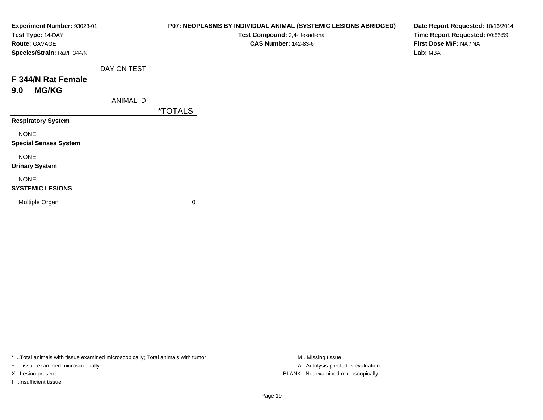| Experiment Number: 93023-01<br>Test Type: 14-DAY<br>Route: GAVAGE<br>Species/Strain: Rat/F 344/N |                  | P07: NEOPLASMS BY INDIVIDUAL ANIMAL (SYSTEMIC LESIONS ABRIDGED)<br>Test Compound: 2,4-Hexadienal<br><b>CAS Number: 142-83-6</b> | Date Report Requested: 10/16/2014<br>Time Report Requested: 00:56:59<br>First Dose M/F: NA / NA<br>Lab: MBA |
|--------------------------------------------------------------------------------------------------|------------------|---------------------------------------------------------------------------------------------------------------------------------|-------------------------------------------------------------------------------------------------------------|
|                                                                                                  | DAY ON TEST      |                                                                                                                                 |                                                                                                             |
| F 344/N Rat Female                                                                               |                  |                                                                                                                                 |                                                                                                             |
| <b>MG/KG</b><br>9.0                                                                              |                  |                                                                                                                                 |                                                                                                             |
|                                                                                                  | <b>ANIMAL ID</b> |                                                                                                                                 |                                                                                                             |
|                                                                                                  |                  | <i><b>*TOTALS</b></i>                                                                                                           |                                                                                                             |
| <b>Respiratory System</b>                                                                        |                  |                                                                                                                                 |                                                                                                             |
| <b>NONE</b><br><b>Special Senses System</b>                                                      |                  |                                                                                                                                 |                                                                                                             |
| <b>NONE</b><br><b>Urinary System</b>                                                             |                  |                                                                                                                                 |                                                                                                             |
| <b>NONE</b><br><b>SYSTEMIC LESIONS</b>                                                           |                  |                                                                                                                                 |                                                                                                             |
| Multiple Organ                                                                                   |                  | 0                                                                                                                               |                                                                                                             |

\* ..Total animals with tissue examined microscopically; Total animals with tumor M..Missing tissue M ..Missing tissue

+ ..Tissue examined microscopically

I ..Insufficient tissue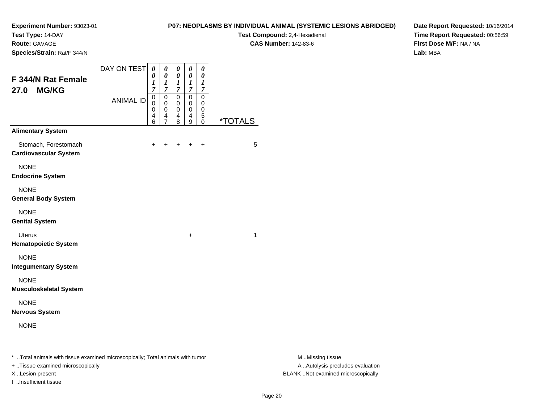**Test Type:** 14-DAY

**Route:** GAVAGE

**Species/Strain:** Rat/F 344/N

# **P07: NEOPLASMS BY INDIVIDUAL ANIMAL (SYSTEMIC LESIONS ABRIDGED)**

**Test Compound:** 2,4-Hexadienal **CAS Number:** 142-83-6

**Date Report Requested:** 10/16/2014**Time Report Requested:** 00:56:59**First Dose M/F:** NA / NA**Lab:** MBA

| F 344/N Rat Female<br><b>MG/KG</b><br>27.0                                       | DAY ON TEST<br><b>ANIMAL ID</b> | $\boldsymbol{\theta}$<br>0<br>$\boldsymbol{l}$<br>$\overline{7}$<br>$\pmb{0}$<br>0<br>0<br>4<br>6 | 0<br>$\boldsymbol{\theta}$<br>$\boldsymbol{l}$<br>$\overline{7}$<br>$\mathbf 0$<br>0<br>$\mathbf 0$<br>4<br>$\overline{7}$ | $\boldsymbol{\theta}$<br>$\boldsymbol{\theta}$<br>$\boldsymbol{l}$<br>$\overline{7}$<br>$\mathbf 0$<br>0<br>0<br>4<br>8 | $\boldsymbol{\theta}$<br>$\pmb{\theta}$<br>1<br>$\overline{7}$<br>$\mathbf 0$<br>0<br>0<br>4<br>9 | $\boldsymbol{\theta}$<br>$\boldsymbol{\theta}$<br>1<br>7<br>$\mathbf 0$<br>0<br>0<br>5<br>0 | <i><b>*TOTALS</b></i> |
|----------------------------------------------------------------------------------|---------------------------------|---------------------------------------------------------------------------------------------------|----------------------------------------------------------------------------------------------------------------------------|-------------------------------------------------------------------------------------------------------------------------|---------------------------------------------------------------------------------------------------|---------------------------------------------------------------------------------------------|-----------------------|
| <b>Alimentary System</b><br>Stomach, Forestomach<br><b>Cardiovascular System</b> |                                 | +                                                                                                 | +                                                                                                                          |                                                                                                                         |                                                                                                   | $\ddot{}$                                                                                   | 5                     |
| <b>NONE</b><br><b>Endocrine System</b>                                           |                                 |                                                                                                   |                                                                                                                            |                                                                                                                         |                                                                                                   |                                                                                             |                       |
| <b>NONE</b><br><b>General Body System</b>                                        |                                 |                                                                                                   |                                                                                                                            |                                                                                                                         |                                                                                                   |                                                                                             |                       |
| <b>NONE</b><br><b>Genital System</b>                                             |                                 |                                                                                                   |                                                                                                                            |                                                                                                                         |                                                                                                   |                                                                                             |                       |
| <b>Uterus</b><br><b>Hematopoietic System</b>                                     |                                 |                                                                                                   |                                                                                                                            |                                                                                                                         | +                                                                                                 |                                                                                             | 1                     |
| <b>NONE</b><br><b>Integumentary System</b>                                       |                                 |                                                                                                   |                                                                                                                            |                                                                                                                         |                                                                                                   |                                                                                             |                       |
| <b>NONE</b><br><b>Musculoskeletal System</b>                                     |                                 |                                                                                                   |                                                                                                                            |                                                                                                                         |                                                                                                   |                                                                                             |                       |
| <b>NONE</b><br><b>Nervous System</b>                                             |                                 |                                                                                                   |                                                                                                                            |                                                                                                                         |                                                                                                   |                                                                                             |                       |
| <b>NONE</b>                                                                      |                                 |                                                                                                   |                                                                                                                            |                                                                                                                         |                                                                                                   |                                                                                             |                       |

\* ..Total animals with tissue examined microscopically; Total animals with tumor **M** . Missing tissue M ..Missing tissue

+ ..Tissue examined microscopically

I ..Insufficient tissue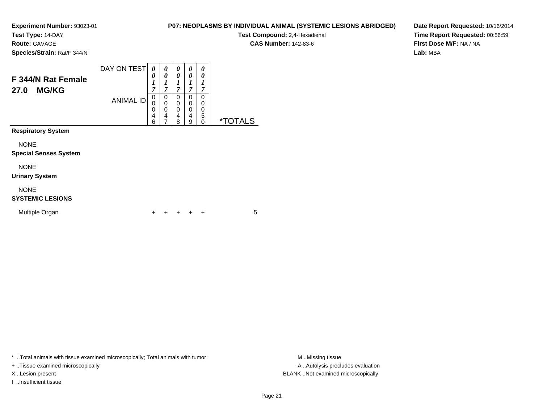**Test Type:** 14-DAY

**Route:** GAVAGE

**Species/Strain:** Rat/F 344/N

# **P07: NEOPLASMS BY INDIVIDUAL ANIMAL (SYSTEMIC LESIONS ABRIDGED)**

**Test Compound:** 2,4-Hexadienal

**CAS Number:** 142-83-6

**Date Report Requested:** 10/16/2014**Time Report Requested:** 00:56:59**First Dose M/F:** NA / NA**Lab:** MBA

| F 344/N Rat Female<br><b>MG/KG</b><br>27.0  | DAY ON TEST<br><b>ANIMAL ID</b> | 0<br>0<br>1<br>7<br>0<br>0<br>0<br>4 | 0<br>0<br>$\boldsymbol{l}$<br>$\overline{7}$<br>0<br>$\mathbf 0$<br>0<br>4 | 0<br>$\theta$<br>1<br>$\overline{7}$<br>0<br>$\mathbf 0$<br>0<br>$\overline{4}$ | 0<br>0<br>1<br>$\overline{7}$<br>0<br>0<br>0<br>4 | 0<br>0<br>1<br>7<br>$\Omega$<br>0<br>0<br>5 |                       |
|---------------------------------------------|---------------------------------|--------------------------------------|----------------------------------------------------------------------------|---------------------------------------------------------------------------------|---------------------------------------------------|---------------------------------------------|-----------------------|
| <b>Respiratory System</b>                   |                                 | 6                                    | $\overline{7}$                                                             | 8                                                                               | 9                                                 | 0                                           | <i><b>*TOTALS</b></i> |
| <b>NONE</b><br><b>Special Senses System</b> |                                 |                                      |                                                                            |                                                                                 |                                                   |                                             |                       |
| <b>NONE</b><br><b>Urinary System</b>        |                                 |                                      |                                                                            |                                                                                 |                                                   |                                             |                       |
| <b>NONE</b><br><b>SYSTEMIC LESIONS</b>      |                                 |                                      |                                                                            |                                                                                 |                                                   |                                             |                       |
| Multiple Organ                              |                                 | +                                    |                                                                            | ٠                                                                               | +                                                 | $\ddot{}$                                   | 5                     |

\* ..Total animals with tissue examined microscopically; Total animals with tumor **M** . Missing tissue M ..Missing tissue

+ ..Tissue examined microscopically

I ..Insufficient tissue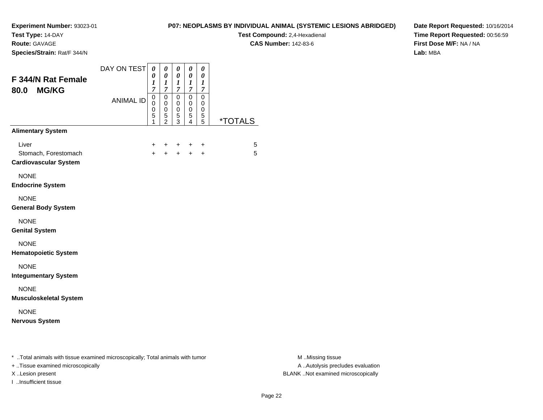**Test Type:** 14-DAY

**Route:** GAVAGE

**Species/Strain:** Rat/F 344/N

# **P07: NEOPLASMS BY INDIVIDUAL ANIMAL (SYSTEMIC LESIONS ABRIDGED)**

 $\overline{\phantom{0}}$ 

**Test Compound:** 2,4-Hexadienal **CAS Number:** 142-83-6

**Date Report Requested:** 10/16/2014**Time Report Requested:** 00:56:59**First Dose M/F:** NA / NA**Lab:** MBA

| F 344/N Rat Female<br><b>MG/KG</b><br>80.0                    | DAY ON TEST      | $\pmb{\theta}$<br>0<br>1<br>$\overline{7}$ | 0<br>$\boldsymbol{\theta}$<br>$\boldsymbol{l}$<br>7                      | 0<br>$\boldsymbol{\theta}$<br>$\boldsymbol{l}$<br>$\overline{7}$ | 0<br>0<br>1<br>7                             | 0<br>0<br>$\boldsymbol{l}$<br>$\overline{7}$ |                       |
|---------------------------------------------------------------|------------------|--------------------------------------------|--------------------------------------------------------------------------|------------------------------------------------------------------|----------------------------------------------|----------------------------------------------|-----------------------|
|                                                               | <b>ANIMAL ID</b> | 0<br>0<br>0<br>5<br>1                      | $\pmb{0}$<br>$\mathbf 0$<br>$\mathbf 0$<br>$\mathbf 5$<br>$\overline{2}$ | $\mathbf 0$<br>$\mathbf 0$<br>$\,0\,$<br>5<br>3                  | $\mathbf 0$<br>0<br>0<br>5<br>$\overline{4}$ | 0<br>0<br>0<br>5<br>5                        | <i><b>*TOTALS</b></i> |
| <b>Alimentary System</b>                                      |                  |                                            |                                                                          |                                                                  |                                              |                                              |                       |
| Liver<br>Stomach, Forestomach<br><b>Cardiovascular System</b> |                  | $\ddot{}$<br>$+$                           | $\ddot{}$<br>$\ddot{}$                                                   | $\ddot{}$<br>$+$                                                 | ÷<br>$+$                                     | $\ddot{}$<br>$\ddot{}$                       | 5<br>5                |
| <b>NONE</b><br><b>Endocrine System</b>                        |                  |                                            |                                                                          |                                                                  |                                              |                                              |                       |
| <b>NONE</b><br><b>General Body System</b>                     |                  |                                            |                                                                          |                                                                  |                                              |                                              |                       |
| <b>NONE</b><br><b>Genital System</b>                          |                  |                                            |                                                                          |                                                                  |                                              |                                              |                       |
| <b>NONE</b><br><b>Hematopoietic System</b>                    |                  |                                            |                                                                          |                                                                  |                                              |                                              |                       |
| <b>NONE</b><br><b>Integumentary System</b>                    |                  |                                            |                                                                          |                                                                  |                                              |                                              |                       |
| <b>NONE</b><br><b>Musculoskeletal System</b>                  |                  |                                            |                                                                          |                                                                  |                                              |                                              |                       |
| <b>NONE</b><br><b>Nervous System</b>                          |                  |                                            |                                                                          |                                                                  |                                              |                                              |                       |
|                                                               |                  |                                            |                                                                          |                                                                  |                                              |                                              |                       |

\* ..Total animals with tissue examined microscopically; Total animals with tumor **M** . Missing tissue M ..Missing tissue

+ ..Tissue examined microscopically

I ..Insufficient tissue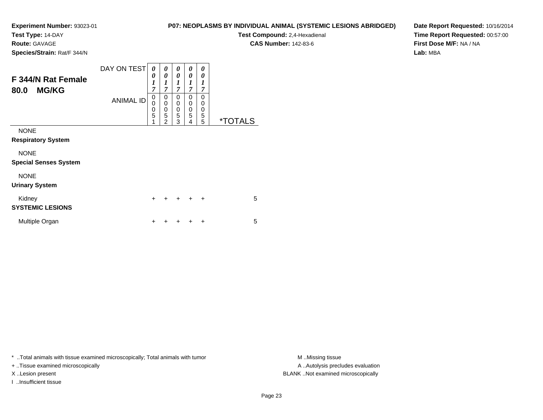**Test Type:** 14-DAY

**Route:** GAVAGE

**Species/Strain:** Rat/F 344/N

# **P07: NEOPLASMS BY INDIVIDUAL ANIMAL (SYSTEMIC LESIONS ABRIDGED)**

**Test Compound:** 2,4-Hexadienal **CAS Number:** 142-83-6

**Date Report Requested:** 10/16/2014**Time Report Requested:** 00:57:00**First Dose M/F:** NA / NA**Lab:** MBA

| F 344/N Rat Female<br><b>MG/KG</b><br>80.0  | DAY ON TESTI<br><b>ANIMAL ID</b> | 0<br>0<br>$\boldsymbol{l}$<br>$\overline{7}$<br>0<br>0<br>0<br>5<br>1 | 0<br>0<br>1<br>$\overline{7}$<br>0<br>0<br>$\mathbf 0$<br>$\overline{5}$<br>$\overline{2}$ | 0<br>0<br>1<br>7<br>$\mathbf 0$<br>0<br>0<br>5<br>3 | 0<br>0<br>1<br>7<br>0<br>0<br>$\mathbf 0$<br>5<br>4 | 0<br>0<br>1<br>7<br>0<br>0<br>0<br>5<br>5 | <i><b>*TOTALS</b></i> |
|---------------------------------------------|----------------------------------|-----------------------------------------------------------------------|--------------------------------------------------------------------------------------------|-----------------------------------------------------|-----------------------------------------------------|-------------------------------------------|-----------------------|
| <b>NONE</b><br><b>Respiratory System</b>    |                                  |                                                                       |                                                                                            |                                                     |                                                     |                                           |                       |
| <b>NONE</b><br><b>Special Senses System</b> |                                  |                                                                       |                                                                                            |                                                     |                                                     |                                           |                       |
| <b>NONE</b><br><b>Urinary System</b>        |                                  |                                                                       |                                                                                            |                                                     |                                                     |                                           |                       |
| Kidney<br><b>SYSTEMIC LESIONS</b>           |                                  | $\ddot{}$                                                             |                                                                                            | $\div$                                              | $\div$                                              | $\ddot{}$                                 | 5                     |
| Multiple Organ                              |                                  | ٠                                                                     |                                                                                            |                                                     |                                                     | +                                         | 5                     |

\* ..Total animals with tissue examined microscopically; Total animals with tumor **M** . Missing tissue M ..Missing tissue

+ ..Tissue examined microscopically

I ..Insufficient tissue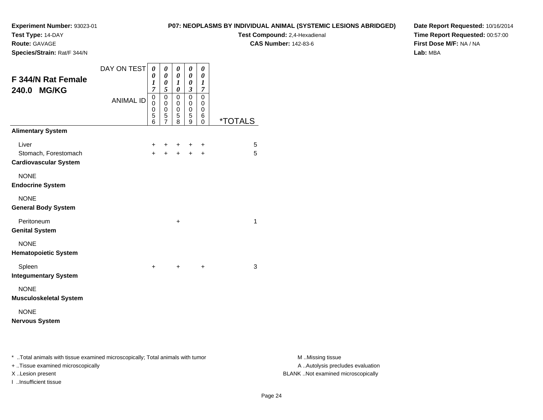**Test Type:** 14-DAY

**Route:** GAVAGE

**Species/Strain:** Rat/F 344/N

# **P07: NEOPLASMS BY INDIVIDUAL ANIMAL (SYSTEMIC LESIONS ABRIDGED)**

**Test Compound:** 2,4-Hexadienal **CAS Number:** 142-83-6

**Date Report Requested:** 10/16/2014**Time Report Requested:** 00:57:00**First Dose M/F:** NA / NA**Lab:** MBA

| F 344/N Rat Female<br>240.0 MG/KG                             | DAY ON TEST      | 0<br>0<br>1<br>$\overline{7}$ | 0<br>0<br>0<br>5                   | 0<br>0<br>1<br>0                | 0<br>0<br>0<br>$\boldsymbol{\beta}$ | 0<br>0<br>1<br>7      |                       |
|---------------------------------------------------------------|------------------|-------------------------------|------------------------------------|---------------------------------|-------------------------------------|-----------------------|-----------------------|
|                                                               | <b>ANIMAL ID</b> | 0<br>$\Omega$<br>0<br>5<br>6  | 0<br>0<br>0<br>5<br>$\overline{7}$ | $\mathbf 0$<br>0<br>0<br>5<br>8 | $\Omega$<br>0<br>0<br>5<br>9        | 0<br>0<br>0<br>6<br>0 | <i><b>*TOTALS</b></i> |
| <b>Alimentary System</b>                                      |                  |                               |                                    |                                 |                                     |                       |                       |
| Liver<br>Stomach, Forestomach<br><b>Cardiovascular System</b> |                  | +<br>$+$                      | +<br>$\ddot{}$                     | +<br>$\ddot{}$                  | +<br>$\ddot{}$                      | +<br>$\ddot{}$        | 5<br>5                |
| <b>NONE</b><br><b>Endocrine System</b>                        |                  |                               |                                    |                                 |                                     |                       |                       |
| <b>NONE</b><br><b>General Body System</b>                     |                  |                               |                                    |                                 |                                     |                       |                       |
| Peritoneum<br><b>Genital System</b>                           |                  |                               |                                    | $\ddot{}$                       |                                     |                       | 1                     |
| <b>NONE</b><br><b>Hematopoietic System</b>                    |                  |                               |                                    |                                 |                                     |                       |                       |
| Spleen<br><b>Integumentary System</b>                         |                  | $\pm$                         |                                    | $\ddot{}$                       |                                     | +                     | 3                     |
| <b>NONE</b><br><b>Musculoskeletal System</b>                  |                  |                               |                                    |                                 |                                     |                       |                       |
| <b>NONE</b><br><b>Nervous System</b>                          |                  |                               |                                    |                                 |                                     |                       |                       |

\* ..Total animals with tissue examined microscopically; Total animals with tumor **M** . Missing tissue M ..Missing tissue

+ ..Tissue examined microscopically

I ..Insufficient tissue